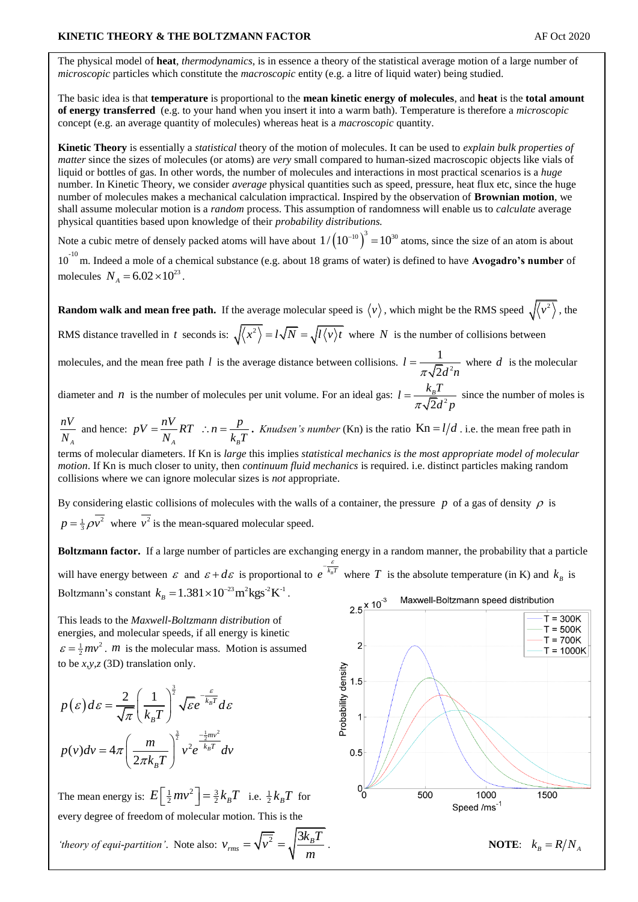# **KINETIC THEORY & THE BOLTZMANN FACTOR AF Oct 2020 AF Oct 2020**

The physical model of **heat**, *thermodynamics*, is in essence a theory of the statistical average motion of a large number of *microscopic* particles which constitute the *macroscopic* entity (e.g. a litre of liquid water) being studied.

The basic idea is that **temperature** is proportional to the **mean kinetic energy of molecules**, and **heat** is the **total amount of energy transferred** (e.g. to your hand when you insert it into a warm bath). Temperature is therefore a *microscopic* concept (e.g. an average quantity of molecules) whereas heat is a *macroscopic* quantity.

**Kinetic Theory** is essentially a *statistical* theory of the motion of molecules. It can be used to *explain bulk properties of matter* since the sizes of molecules (or atoms) are *very* small compared to human-sized macroscopic objects like vials of liquid or bottles of gas. In other words, the number of molecules and interactions in most practical scenarios is a *huge* number. In Kinetic Theory, we consider *average* physical quantities such as speed, pressure, heat flux etc, since the huge number of molecules makes a mechanical calculation impractical. Inspired by the observation of **Brownian motion**, we shall assume molecular motion is a *random* process. This assumption of randomness will enable us to *calculate* average physical quantities based upon knowledge of their *probability distributions.*

Note a cubic metre of densely packed atoms will have about  $1/(10^{-10})^3 = 10^{30}$  atoms, since the size of an atom is about 10 -10 m. Indeed a mole of a chemical substance (e.g. about 18 grams of water) is defined to have **Avogadro's number** of molecules  $N_A = 6.02 \times 10^{23}$ .

**Random walk and mean free path.** If the average molecular speed is  $\langle v \rangle$ , which might be the RMS speed  $\sqrt{\langle v^2 \rangle}$ , the

RMS distance travelled in t seconds is:  $\sqrt{\langle x^2 \rangle} = l \sqrt{N} = \sqrt{l \langle y \rangle t}$  where N is the number of collisions between

molecules, and the mean free path l is the average distance between collisions.  $l = \frac{1}{\pi \sqrt{2d^2}}$ 1  $\overline{c}$ *l*  $\pi\sqrt{2d^2n}$  $=\frac{1}{\sqrt{2}}$  where d is the molecular

diameter and *n* is the number of molecules per unit volume. For an ideal gas:  $l = \frac{k_B I}{\pi \sqrt{2} d^2}$  $l = \frac{k_B T}{\sqrt{2}}$  $\pi\sqrt{2}d^2p$  $=\frac{k_B T}{\sqrt{2}}$  since the number of moles is

*A nV N* and hence: *A*  $K_B$  $pV = \frac{nV}{N}RT$  :  $n = \frac{p}{l}$  $\frac{1}{N_A}RT \therefore n = \frac{1}{k_B T}$  $=\frac{nV}{N}RT$  :  $n=\frac{p}{N}$ . *Knudsen's number* (Kn) is the ratio Kn =  $l/d$  . i.e. the mean free path in

terms of molecular diameters. If Kn is *large* this implies *statistical mechanics is the most appropriate model of molecular motion*. If Kn is much closer to unity, then *continuum fluid mechanics* is required. i.e. distinct particles making random collisions where we can ignore molecular sizes is *not* appropriate.

By considering elastic collisions of molecules with the walls of a container, the pressure  $p$  of a gas of density  $\rho$  is  $p = \frac{1}{3}\rho v^2$  where  $v^2$  is the mean-squared molecular speed.

**Boltzmann factor.** If a large number of particles are exchanging energy in a random manner, the probability that a particle

will have energy between  $\varepsilon$  and  $\varepsilon + d\varepsilon$  is proportional to  $e^{-\frac{\varepsilon}{k_B T}}$  where T is the absolute temperature (in K) and  $k_B$  is Boltzmann's constant  $k_B = 1.381 \times 10^{-23} \text{ m}^2 \text{kg}^2 \text{K}^{-1}$ .

This leads to the *Maxwell-Boltzmann distribution* of energies, and molecular speeds, if all energy is kinetic  $\varepsilon = \frac{1}{2}mv^2$ . *m* is the molecular mass. Motion is assumed to be *x,y,z* (3D) translation only.

$$
p(\varepsilon)d\varepsilon = \frac{2}{\sqrt{\pi}} \left(\frac{1}{k_B T}\right)^{\frac{3}{2}} \sqrt{\varepsilon} e^{-\frac{\varepsilon}{k_B T}} d\varepsilon
$$

$$
p(v)dv = 4\pi \left(\frac{m}{2\pi k_B T}\right)^{\frac{3}{2}} v^2 e^{\frac{-\frac{1}{2}mv^2}{k_B T}} dv
$$

The mean energy is:  $E\left[\frac{1}{2}mv^2\right] = \frac{3}{2}k_B T$  i.e.  $\frac{1}{2}k_B T$  for every degree of freedom of molecular motion. This is the

*'theory of equi-partition'*. Note also:  $v_{rms} = \sqrt{v^2} = \sqrt{\frac{3k_B}{m}}$  $v_{rms} = \sqrt{v^2} = \sqrt{\frac{3k_B T}{v^2}}$ *m*  $=\sqrt{v^2}=\sqrt{\frac{3k_B T}{r}}$ . NOTE:



**NOTE:**  $k_p = R/N_A$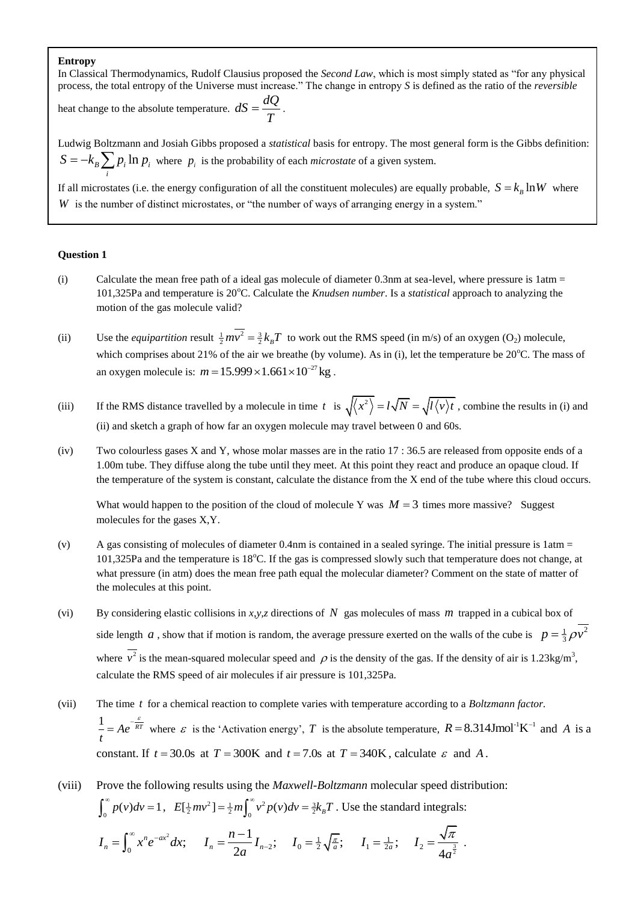#### **Entropy**

In Classical Thermodynamics, Rudolf Clausius proposed the *Second Law*, which is most simply stated as "for any physical process, the total entropy of the Universe must increase." The change in entropy *S* is defined as the ratio of the *reversible*

heat change to the absolute temperature.  $dS = \frac{dQ}{dt}$ *T*  $=\frac{uQ}{u}$ .

Ludwig Boltzmann and Josiah Gibbs proposed a *statistical* basis for entropy. The most general form is the Gibbs definition:  $S = -k_B \sum p_i \ln p_i$  where  $p_i$  is the probability of each *microstate* of a given system.

If all microstates (i.e. the energy configuration of all the constituent molecules) are equally probable,  $S = k_B \ln W$  where W is the number of distinct microstates, or "the number of ways of arranging energy in a system."

## **Question 1**

*i*

- (i) Calculate the mean free path of a ideal gas molecule of diameter  $0.3$  nm at sea-level, where pressure is  $1$ atm  $=$ 101,325Pa and temperature is 20°C. Calculate the *Knudsen number*. Is a *statistical* approach to analyzing the motion of the gas molecule valid?
- (ii) Use the *equipartition* result  $\frac{1}{2}mv^2 = \frac{3}{2}k_B T$  to work out the RMS speed (in m/s) of an oxygen (O<sub>2</sub>) molecule, which comprises about 21% of the air we breathe (by volume). As in (i), let the temperature be  $20^{\circ}$ C. The mass of an oxygen molecule is:  $m = 15.999 \times 1.661 \times 10^{-27}$  kg.
- (iii) If the RMS distance travelled by a molecule in time t is  $\sqrt{\langle x^2 \rangle} = l \sqrt{N} = \sqrt{l \langle y \rangle t}$ , combine the results in (i) and (ii) and sketch a graph of how far an oxygen molecule may travel between 0 and 60s.
- (iv) Two colourless gases X and Y, whose molar masses are in the ratio 17 : 36.5 are released from opposite ends of a 1.00m tube. They diffuse along the tube until they meet. At this point they react and produce an opaque cloud. If the temperature of the system is constant, calculate the distance from the X end of the tube where this cloud occurs.

What would happen to the position of the cloud of molecule Y was  $M = 3$  times more massive? Suggest molecules for the gases X,Y.

- (v) A gas consisting of molecules of diameter  $0.4$ nm is contained in a sealed syringe. The initial pressure is  $1$ atm =  $101,325P$ a and the temperature is  $18^{\circ}$ C. If the gas is compressed slowly such that temperature does not change, at what pressure (in atm) does the mean free path equal the molecular diameter? Comment on the state of matter of the molecules at this point.
- (vi) By considering elastic collisions in *x,y,z* directions of N gas molecules of mass  $m$  trapped in a cubical box of side length a, show that if motion is random, the average pressure exerted on the walls of the cube is  $p = \frac{1}{3}\rho v^2$ where  $v^2$  is the mean-squared molecular speed and  $\rho$  is the density of the gas. If the density of air is 1.23kg/m<sup>3</sup>, calculate the RMS speed of air molecules if air pressure is 101,325Pa.
- (vii) The time *t* for a chemical reaction to complete varies with temperature according to a *Boltzmann factor.*  $\frac{1}{A} = Ae^{-\frac{\varepsilon}{RT}}$ *t*  $Ae^{-\frac{\varepsilon}{RT}}$  where  $\varepsilon$  is the 'Activation energy', T is the absolute temperature,  $R = 8.314$ Jmol<sup>-1</sup>K<sup>-1</sup> and A is a constant. If  $t = 30.0s$  at  $T = 300K$  and  $t = 7.0s$  at  $T = 340K$ , calculate  $\varepsilon$  and A.
- (viii) Prove the following results using the *Maxwell-Boltzmann* molecular speed distribution:

 $\int_0^{\infty} p(v) dv = 1$ ,  $E[\frac{1}{2}mv^2] = \frac{1}{2}m \int_0^{\infty} v^2 p(v) dv = \frac{3}{2}k_B T$ . Use the standard integrals:

$$
\int_0^{\infty} p(v)dv = 1, \quad E[\frac{1}{2}mv^2] = \frac{1}{2}m \int_0^{\infty} v^2 p(v)dv = \frac{3}{2}k_B T. \text{ Use the standard integrals:}
$$
\n
$$
I_n = \int_0^{\infty} x^n e^{-ax^2} dx; \qquad I_n = \frac{n-1}{2a} I_{n-2}; \qquad I_0 = \frac{1}{2} \sqrt{\frac{\pi}{a}}; \qquad I_1 = \frac{1}{2a}; \qquad I_2 = \frac{\sqrt{\pi}}{4a^{\frac{3}{2}}}.
$$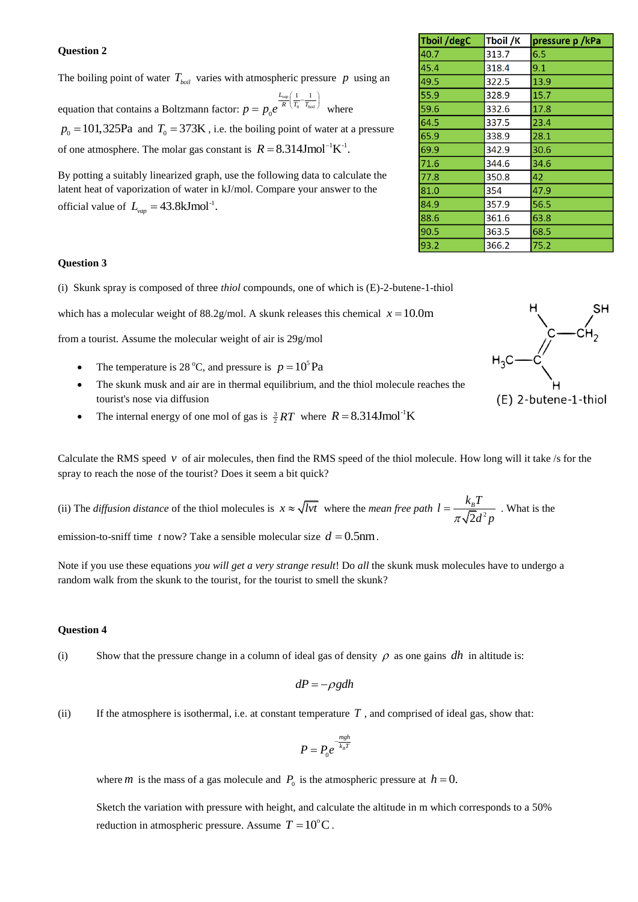### **Question 2**

The boiling point of water  $T_{\text{boli}}$  varies with atmospheric pressure  $p$  using an

equation that contains a Boltzmann factor:  $p = p_0 e^{-K(T_0)}$ 1 1  $\mathbf 0$ *vap boil L*  $p = p_0 e^{-R (T_0 - T)}$  $\left(\frac{1}{x}-\frac{1}{x}\right)$  $= p_0 e^{-R(T_0-T_{boil})}$  where  $p_0 = 101,325\text{Pa}$  and  $T_0 = 373\text{K}$ , i.e. the boiling point of water at a pressure of one atmosphere. The molar gas constant is  $R = 8.314 \text{J} \text{mol}^{-1} \text{K}^{-1}$ .

By potting a suitably linearized graph, use the following data to calculate the latent heat of vaporization of water in kJ/mol. Compare your answer to the official value of  $L_{vap} = 43.8 \text{kJmol}^{-1}$ .

| <b>Question 3</b> |  |
|-------------------|--|
|-------------------|--|

(i) Skunk spray is composed of three *thiol* compounds, one of which is (E)-2-butene-1-thiol

which has a molecular weight of 88.2g/mol. A skunk releases this chemical  $x = 10.0$ m

from a tourist. Assume the molecular weight of air is 29g/mol

- The temperature is 28 °C, and pressure is  $p = 10^5$ Pa
- The skunk musk and air are in thermal equilibrium, and the thiol molecule reaches the tourist's nose via diffusion
- The internal energy of one mol of gas is  $\frac{3}{2}RT$  where  $R = 8.314 \text{J} \text{mol}^{-1} \text{K}$

Calculate the RMS speed  $v$  of air molecules, then find the RMS speed of the thiol molecule. How long will it take /s for the spray to reach the nose of the tourist? Does it seem a bit quick?

(ii) The *diffusion distance* of the thiol molecules is  $x \approx \sqrt{lv}t$  where the *mean free path*  $l = \frac{k_B T}{\pi \sqrt{2}d^2}$  $l = \frac{k_B T}{\sqrt{2}}$  $\pi \sqrt{2d^2p}$  $=\frac{R_B T}{\sqrt{2}}$ . What is the

emission-to-sniff time *t* now? Take a sensible molecular size  $d = 0.5$ nm.

Note if you use these equations *you will get a very strange result*! Do *all* the skunk musk molecules have to undergo a random walk from the skunk to the tourist, for the tourist to smell the skunk?

#### **Question 4**

(i) Show that the pressure change in a column of ideal gas of density  $\rho$  as one gains dh in altitude is:

$$
dP = -\rho g dh
$$

(ii) If the atmosphere is isothermal, i.e. at constant temperature  $T$ , and comprised of ideal gas, show that:

$$
P = P_0 e^{-\frac{mgh}{k_B T}}
$$

where *m* is the mass of a gas molecule and  $P_0$  is the atmospheric pressure at  $h = 0$ .

Sketch the variation with pressure with height, and calculate the altitude in m which corresponds to a 50% reduction in atmospheric pressure. Assume  $T = 10^{\circ}$ C.

| Tboil /degC | Tboil /K | pressure p /kPa |
|-------------|----------|-----------------|
| 40.7        | 313.7    | 6.5             |
| 45.4        | 318.4    | 9.1             |
| 49.5        | 322.5    | 13.9            |
| 55.9        | 328.9    | 15.7            |
| 59.6        | 332.6    | 17.8            |
| 64.5        | 337.5    | 23.4            |
| 65.9        | 338.9    | 28.1            |
| 69.9        | 342.9    | 30.6            |
| 71.6        | 344.6    | 34.6            |
| 77.8        | 350.8    | 42              |
| 81.0        | 354      | 47.9            |
| 84.9        | 357.9    | 56.5            |
| 88.6        | 361.6    | 63.8            |
| 90.5        | 363.5    | 68.5            |
| 93.2        | 366.2    | 75.2            |

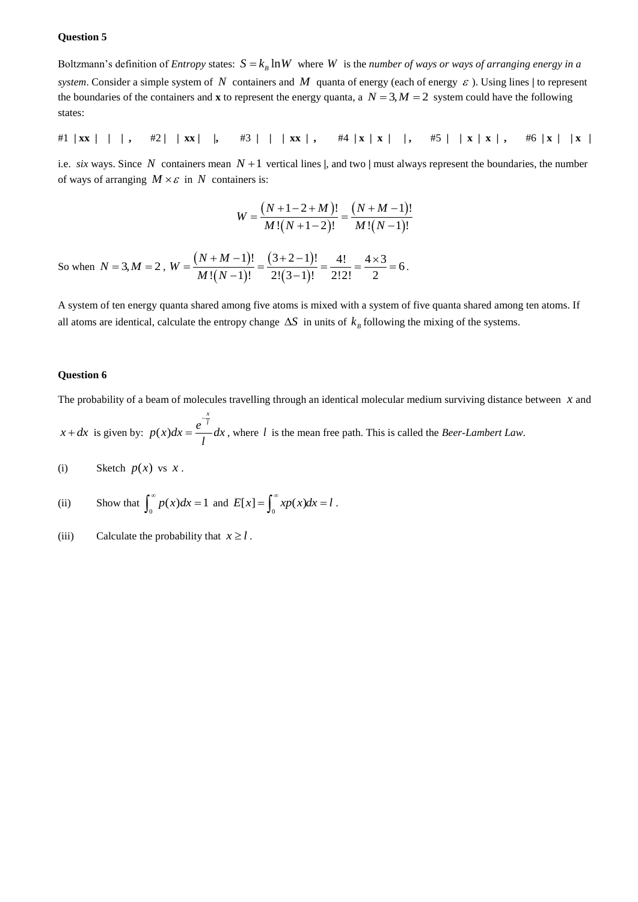## **Question 5**

Boltzmann's definition of *Entropy* states:  $S = k_B \ln W$  where W is the *number of ways or ways of arranging energy in a* system. Consider a simple system of N containers and M quanta of energy (each of energy  $\varepsilon$ ). Using lines | to represent the boundaries of the containers and **x** to represent the energy quanta, a  $N = 3$ ,  $M = 2$  system could have the following states:

#1 **| xx | | | ,** #2 **| | xx | |,** #3 **| | | xx | ,** #4 **| x | x | | ,** #5 **| | x | x | ,** #6 **| x | | x |** 

i.e. *six* ways. Since N containers mean  $N+1$  vertical lines |, and two | must always represent the boundaries, the number of ways of arranging  $M \times \varepsilon$  in N containers is:

$$
W = \frac{(N+1-2+M)!}{M!(N+1-2)!} = \frac{(N+M-1)!}{M!(N-1)!}
$$

So when  $N = 3, M = 2$ ,  $W = \frac{(N + M - 1)}{(N + 1)(N + 1)}$  $(N-1)$  $(3+2-1)$  $(3-1)$  $\frac{1)!}{(3+i)(2-i)!} = \frac{4!}{2!} = \frac{4 \times 3}{2 \times 3} = 6$  $\frac{+M-1)!}{(N-1)!} = \frac{(3+2-1)!}{2!(3-1)!} = \frac{4!}{2!2!} = \frac{4 \times 1}{2}$  $W = \frac{(N+M)}{N}$  $\frac{N + M}{M!(N)}$  $=\frac{(N+M-1)!}{M!(N-1)!}=\frac{(3+2-1)!}{2!(3-1)!}=\frac{4!}{2!2!}=\frac{4\times3}{2}=6.$  $\frac{(-1)!}{(-1)!} = \frac{(3+2-1)!}{2!(3-1)!} =$ .

A system of ten energy quanta shared among five atoms is mixed with a system of five quanta shared among ten atoms. If all atoms are identical, calculate the entropy change  $\Delta S$  in units of  $k<sub>B</sub>$  following the mixing of the systems.

#### **Question 6**

The probability of a beam of molecules travelling through an identical molecular medium surviving distance between *x* and

 $x + dx$  is given by:  $p(x)$  $p(x)dx = \frac{e^{-\frac{x}{l}}}{l}dx$ *l* ÷  $=\frac{e}{\epsilon}dx$ , where *l* is the mean free path. This is called the *Beer-Lambert Law*.

(i) Sketch  $p(x)$  vs x.

(ii) Show that 
$$
\int_0^\infty p(x)dx = 1
$$
 and  $E[x] = \int_0^\infty xp(x)dx = l$ .

(iii) Calculate the probability that  $x \ge l$ .